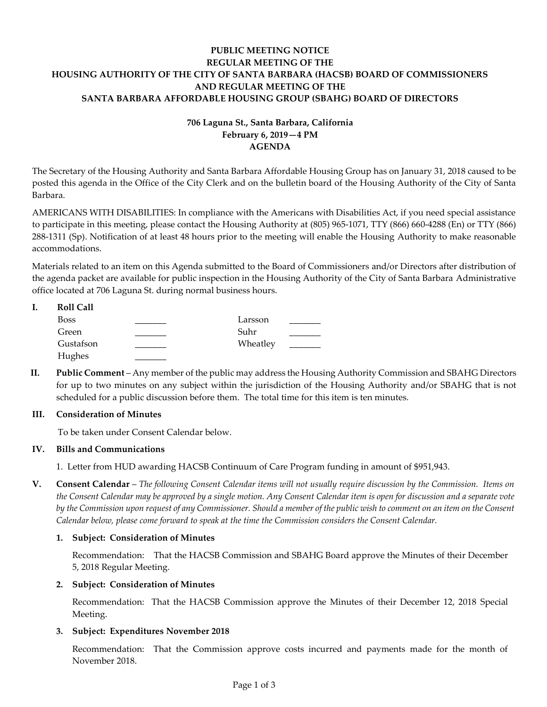# **PUBLIC MEETING NOTICE REGULAR MEETING OF THE HOUSING AUTHORITY OF THE CITY OF SANTA BARBARA (HACSB) BOARD OF COMMISSIONERS AND REGULAR MEETING OF THE SANTA BARBARA AFFORDABLE HOUSING GROUP (SBAHG) BOARD OF DIRECTORS**

# **706 Laguna St., Santa Barbara, California February 6, 2019—4 PM AGENDA**

The Secretary of the Housing Authority and Santa Barbara Affordable Housing Group has on January 31, 2018 caused to be posted this agenda in the Office of the City Clerk and on the bulletin board of the Housing Authority of the City of Santa Barbara.

AMERICANS WITH DISABILITIES: In compliance with the Americans with Disabilities Act, if you need special assistance to participate in this meeting, please contact the Housing Authority at (805) 965-1071, TTY (866) 660-4288 (En) or TTY (866) 288-1311 (Sp). Notification of at least 48 hours prior to the meeting will enable the Housing Authority to make reasonable accommodations.

Materials related to an item on this Agenda submitted to the Board of Commissioners and/or Directors after distribution of the agenda packet are available for public inspection in the Housing Authority of the City of Santa Barbara Administrative office located at 706 Laguna St. during normal business hours.

| <b>Roll Call</b> |          |  |
|------------------|----------|--|
| <b>Boss</b>      | Larsson  |  |
| Green            | Suhr     |  |
| Gustafson        | Wheatley |  |
| Hughes           |          |  |

**II. Public Comment** – Any member of the public may address the Housing Authority Commission and SBAHG Directors for up to two minutes on any subject within the jurisdiction of the Housing Authority and/or SBAHG that is not scheduled for a public discussion before them. The total time for this item is ten minutes.

# **III. Consideration of Minutes**

To be taken under Consent Calendar below.

# **IV. Bills and Communications**

[1. Letter from HUD awarding HACSB Continuum of Care Program funding in amount of \\$951,943.](https://hacsb.org/download/meetings_2019/items/02_february/Item-IV.1.pdf)

**V. Consent Calendar** – *The following Consent Calendar items will not usually require discussion by the Commission. Items on the Consent Calendar may be approved by a single motion. Any Consent Calendar item is open for discussion and a separate vote by the Commission upon request of any Commissioner. Should a member of the public wish to comment on an item on the Consent Calendar below, please come forward to speak at the time the Commission considers the Consent Calendar.*

# **1. Subject: Consideration of Minutes**

[Recommendation: That the HACSB Commission and SBAHG Board approve the Minutes of their December](https://hacsb.org/download/meetings_2019/items/02_february/Item-V.1.pdf)  5, 2018 Regular Meeting.

# **2. Subject: Consideration of Minutes**

[Recommendation: That the HACSB Commission approve the Minutes of their December 12, 2018](https://hacsb.org/download/meetings_2019/items/02_february/Item-V.2.pdf) Special Meeting.

# **3. Subject: Expenditures November 2018**

[Recommendation: That the Commission approve costs incurred and payments made for the month of](https://hacsb.org/download/meetings_2019/items/02_february/Item-V.3.pdf)  November 2018.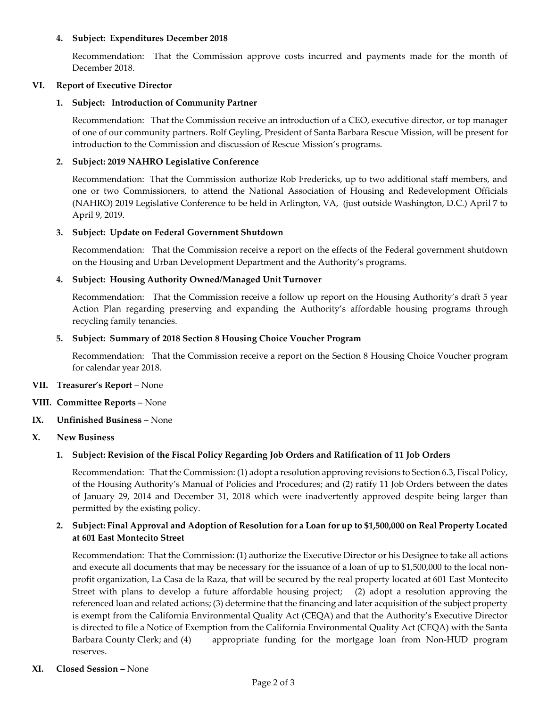#### **4. Subject: Expenditures December 2018**

[Recommendation: That the Commission approve costs incurred and payments made for the month of](https://hacsb.org/download/meetings_2019/items/02_february/Item-V.4.pdf)  December 2018.

#### **VI. Report of Executive Director**

#### **1. Subject: Introduction of Community Partner**

Recommendation: That the Commission receive an introduction of a CEO, executive director, or top manager of one of our community partners. Rolf Geyling, President of Santa Barbara Rescue Mission, will be present for introduction to the Commission and discussion of Rescue Mission's programs.

#### **2. Subject: 2019 NAHRO Legislative Conference**

Recommendation: That the Commission authorize Rob Fredericks, up to two additional staff members, and [one or two Commissioners, to attend the National Association of Housing and Redevelopment Officials](https://hacsb.org/download/meetings_2019/items/02_february/Item-VI.2.pdf)  (NAHRO) 2019 Legislative Conference to be held in Arlington, VA, (just outside Washington, D.C.) April 7 to April 9, 2019.

#### **3. Subject: Update on Federal Government Shutdown**

[Recommendation: That the Commission receive a report on the effects of the Federal government shutdown](https://hacsb.org/download/meetings_2019/items/02_february/Item-VI.3.pdf)  on the Housing and Urban Development Department and the Authority's programs.

#### **4. Subject: Housing Authority Owned/Managed Unit Turnover**

[Recommendation: That the Commission receive a follow up report on the Housing Authority's draft 5 year](https://hacsb.org/download/meetings_2019/items/02_february/Item-VI.4.pdf)  Action Plan regarding preserving and expanding the Authority's affordable housing programs through recycling family tenancies.

#### **5. Subject: Summary of 2018 Section 8 Housing Choice Voucher Program**

[Recommendation: That the Commission receive a report on the Section 8 Housing Choice Voucher program](https://hacsb.org/download/meetings_2019/items/02_february/Item-VI.5.pdf)  for calendar year 2018.

# **VII. Treasurer's Report** – None

# **VIII. Committee Reports** – None

# **IX. Unfinished Business** – None

# **X. New Business**

# **1. Subject: Revision of the Fiscal Policy Regarding Job Orders and Ratification of 11 Job Orders**

Recommendation: That the Commission: (1) adopt a resolution approving revisions to Section 6.3, Fiscal Policy, of the Housing Authority's Manual of Policies and Procedures; and (2) ratify 11 Job Orders between the dates [of January 29, 2014 and December 31, 2018 which were inadvertently approved despite being larger than](https://hacsb.org/download/meetings_2019/items/02_february/Item-X.1.pdf)  permitted by the existing policy.

# **[2. Subject: Final Approval and Adoption of Resolution for a Loan for up to \\$1,500,000 on Real Property Located](https://hacsb.org/download/meetings_2019/items/02_february/Item-X.2.pdf)  at 601 East Montecito Street**

Recommendation: That the Commission: (1) authorize the Executive Director or his Designee to take all actions and execute all documents that may be necessary for the issuance of a loan of up to \$1,500,000 to the local nonprofit organization, La Casa de la Raza, that will be secured by the real property located at 601 East Montecito Street with plans to develop a future affordable housing project; (2) adopt a resolution approving the referenced loan and related actions; (3) determine that the financing and later acquisition of the subject property is exempt from the California Environmental Quality Act (CEQA) and that the Authority's Executive Director is directed to file a Notice of Exemption from the California Environmental Quality Act (CEQA) with the Santa Barbara County Clerk; and (4) appropriate funding for the mortgage loan from Non-HUD program reserves.

#### **XI. Closed Session** – None